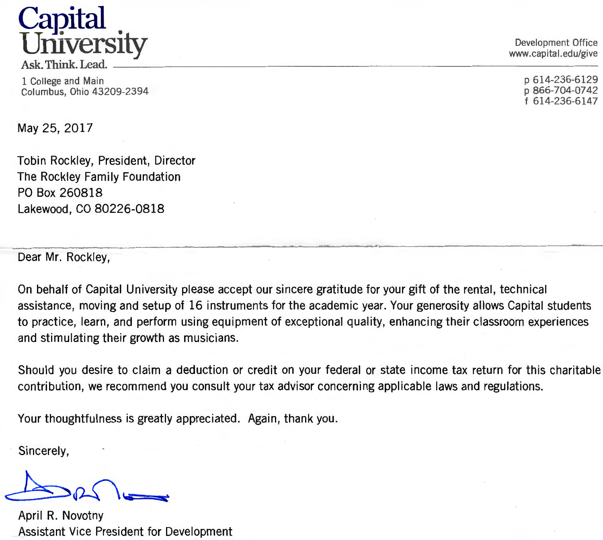## **CaP.ital University** Development Office Development Office Development Office

 $\overline{R}$  Ask. Think. Lead.  $\overline{R}$  and  $\overline{R}$  are  $\overline{R}$  and  $\overline{R}$  are  $\overline{R}$  and  $\overline{R}$  are  $\overline{R}$  and  $\overline{R}$  are  $\overline{R}$  and  $\overline{R}$  are  $\overline{R}$  and  $\overline{R}$  are  $\overline{R}$  and  $\overline{R}$  are  $\overline{R}$  and

1 College and Main Columbus, Ohio 43209-2394 www.capital.edu/give

p 614-236-6129 p 866-704-0742 f 614-236-6147

May 25, 2017

Tobin Rockley, President, Director The Rockley Family Foundation PO Box 260818 Lakewood, CO 80226-0818

Dear Mr. Rockley,

On behalf of Capital University please accept our sincere gratitude for your gift of the rental, technical assistance, moving and setup of 16 instruments for the academic year. Your generosity allows Capital students to practice, learn, and perform using equipment of exceptional quality, enhancing their classroom experiences and stimulating their growth as musicians.

Should you desire to claim a deduction or credit on your federal or state income tax return for this charitable contribution, we recommend you consult your tax advisor concerning applicable laws and regulations.

Your thoughtfulness is greatly appreciated. Again, thank you.

Sincerely,

April R. Novotny Assistant Vice President for Development